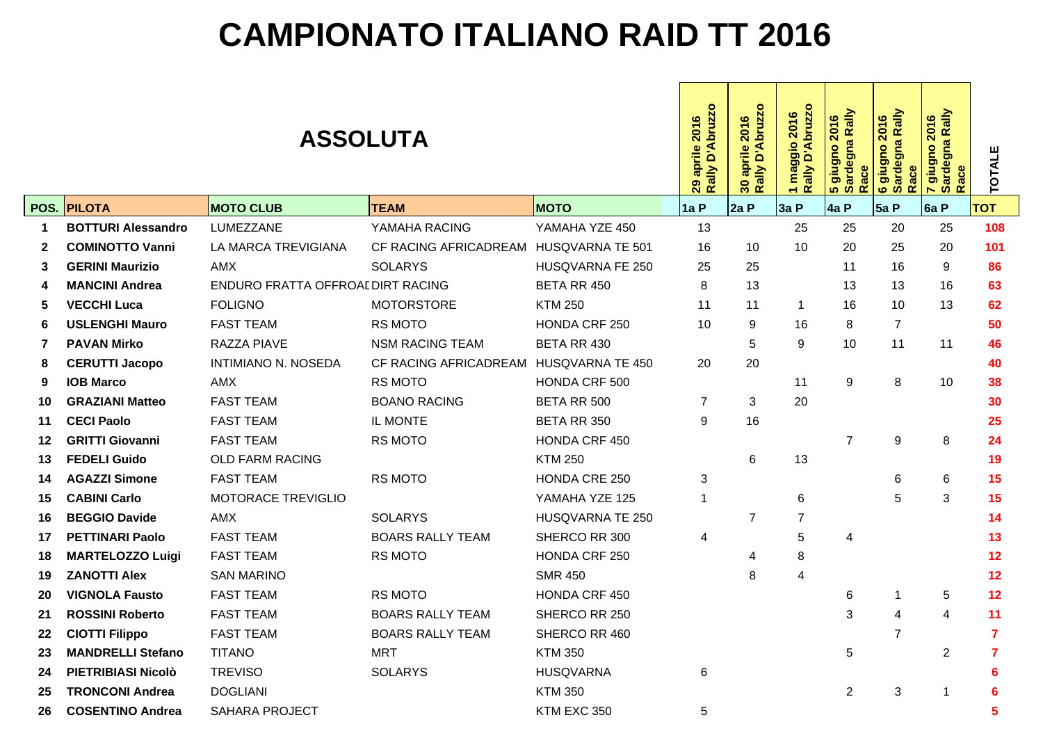## **CAMPIONATO ITALIANO RAID TT 2016**

|             |                           |                                  | D'Abruzzo<br>2016<br>aprile<br>29 apr<br>Rally l | Rally D'Abruzzo<br>2016<br>aprile<br>30 <sub>o</sub> | $\circ$<br>bruzz<br>2016<br>maggio<br>$\blacktriangleleft$<br>ō<br>Rally<br>$\overline{ }$ | <mark>5 giugno 2016</mark><br>Sardegna Rally<br>Race | 6 giugno 2016<br>Sardegna Rally<br>Race | Rally<br>2016<br>7 giugno 2<br>Sardegna l<br>Race | <b>TOTALE</b>  |                |                         |
|-------------|---------------------------|----------------------------------|--------------------------------------------------|------------------------------------------------------|--------------------------------------------------------------------------------------------|------------------------------------------------------|-----------------------------------------|---------------------------------------------------|----------------|----------------|-------------------------|
|             | POS. PILOTA               | <b>MOTO CLUB</b>                 | <b>TEAM</b>                                      | <b>MOTO</b>                                          | 1a P                                                                                       | 2aP                                                  | 3a P                                    | 4a P                                              | 5aP            | 6a P           | <b>TOT</b>              |
| $\mathbf 1$ | <b>BOTTURI Alessandro</b> | LUMEZZANE                        | YAMAHA RACING                                    | YAMAHA YZE 450                                       | 13                                                                                         |                                                      | 25                                      | 25                                                | 20             | 25             | 108                     |
| 2           | <b>COMINOTTO Vanni</b>    | LA MARCA TREVIGIANA              | CF RACING AFRICADREAM                            | HUSQVARNA TE 501                                     | 16                                                                                         | 10                                                   | 10                                      | 20                                                | 25             | 20             | 101                     |
| 3           | <b>GERINI Maurizio</b>    | AMX                              | <b>SOLARYS</b>                                   | HUSQVARNA FE 250                                     | 25                                                                                         | 25                                                   |                                         | 11                                                | 16             | 9              | 86                      |
| 4           | <b>MANCINI Andrea</b>     | ENDURO FRATTA OFFROALDIRT RACING |                                                  | BETA RR 450                                          | 8                                                                                          | 13                                                   |                                         | 13                                                | 13             | 16             | 63                      |
| 5           | <b>VECCHI Luca</b>        | <b>FOLIGNO</b>                   | <b>MOTORSTORE</b>                                | <b>KTM 250</b>                                       | 11                                                                                         | 11                                                   | $\mathbf{1}$                            | 16                                                | 10             | 13             | 62                      |
| 6           | <b>USLENGHI Mauro</b>     | <b>FAST TEAM</b>                 | <b>RS MOTO</b>                                   | HONDA CRF 250                                        | 10                                                                                         | 9                                                    | 16                                      | 8                                                 | $\overline{7}$ |                | 50                      |
| 7           | <b>PAVAN Mirko</b>        | RAZZA PIAVE                      | <b>NSM RACING TEAM</b>                           | BETA RR 430                                          |                                                                                            | 5                                                    | 9                                       | 10                                                | 11             | 11             | 46                      |
| 8           | <b>CERUTTI Jacopo</b>     | <b>INTIMIANO N. NOSEDA</b>       | CF RACING AFRICADREAM                            | HUSQVARNA TE 450                                     | 20                                                                                         | 20                                                   |                                         |                                                   |                |                | 40                      |
| 9           | <b>IOB Marco</b>          | AMX                              | <b>RS MOTO</b>                                   | HONDA CRF 500                                        |                                                                                            |                                                      | 11                                      | 9                                                 | 8              | 10             | 38                      |
| 10          | <b>GRAZIANI Matteo</b>    | <b>FAST TEAM</b>                 | <b>BOANO RACING</b>                              | BETA RR 500                                          | $\overline{7}$                                                                             | 3                                                    | 20                                      |                                                   |                |                | 30                      |
| 11          | <b>CECI Paolo</b>         | <b>FAST TEAM</b>                 | <b>IL MONTE</b>                                  | <b>BETA RR 350</b>                                   | 9                                                                                          | 16                                                   |                                         |                                                   |                |                | 25                      |
| 12          | <b>GRITTI Giovanni</b>    | <b>FAST TEAM</b>                 | <b>RS MOTO</b>                                   | HONDA CRF 450                                        |                                                                                            |                                                      |                                         | $\overline{7}$                                    | 9              | 8              | 24                      |
| 13          | <b>FEDELI Guido</b>       | <b>OLD FARM RACING</b>           |                                                  | <b>KTM 250</b>                                       |                                                                                            | 6                                                    | 13                                      |                                                   |                |                | 19                      |
| 14          | <b>AGAZZI Simone</b>      | <b>FAST TEAM</b>                 | <b>RS MOTO</b>                                   | HONDA CRE 250                                        | 3                                                                                          |                                                      |                                         |                                                   | 6              | 6              | 15                      |
| 15          | <b>CABINI Carlo</b>       | <b>MOTORACE TREVIGLIO</b>        |                                                  | YAMAHA YZE 125                                       | $\mathbf{1}$                                                                               |                                                      | 6                                       |                                                   | 5              | 3              | 15                      |
| 16          | <b>BEGGIO Davide</b>      | AMX                              | <b>SOLARYS</b>                                   | HUSQVARNA TE 250                                     |                                                                                            | $\overline{7}$                                       | $\overline{7}$                          |                                                   |                |                | 14                      |
| 17          | <b>PETTINARI Paolo</b>    | <b>FAST TEAM</b>                 | <b>BOARS RALLY TEAM</b>                          | SHERCO RR 300                                        | 4                                                                                          |                                                      | 5                                       | 4                                                 |                |                | 13                      |
| 18          | <b>MARTELOZZO Luigi</b>   | <b>FAST TEAM</b>                 | <b>RS MOTO</b>                                   | HONDA CRF 250                                        |                                                                                            | 4                                                    | 8                                       |                                                   |                |                | 12                      |
| 19          | <b>ZANOTTI Alex</b>       | <b>SAN MARINO</b>                |                                                  | <b>SMR 450</b>                                       |                                                                                            | 8                                                    | $\overline{4}$                          |                                                   |                |                | 12                      |
| 20          | <b>VIGNOLA Fausto</b>     | <b>FAST TEAM</b>                 | <b>RS MOTO</b>                                   | HONDA CRF 450                                        |                                                                                            |                                                      |                                         | 6                                                 | 1              | 5              | 12                      |
| 21          | <b>ROSSINI Roberto</b>    | <b>FAST TEAM</b>                 | <b>BOARS RALLY TEAM</b>                          | SHERCO RR 250                                        |                                                                                            |                                                      |                                         | 3                                                 | 4              | 4              | 11                      |
| 22          | <b>CIOTTI Filippo</b>     | <b>FAST TEAM</b>                 | <b>BOARS RALLY TEAM</b>                          | SHERCO RR 460                                        |                                                                                            |                                                      |                                         |                                                   | $\overline{7}$ |                | $\overline{7}$          |
| 23          | <b>MANDRELLI Stefano</b>  | <b>TITANO</b>                    | <b>MRT</b>                                       | <b>KTM 350</b>                                       |                                                                                            |                                                      |                                         | 5                                                 |                | $\overline{2}$ | $\overline{\mathbf{z}}$ |
| 24          | PIETRIBIASI Nicolò        | <b>TREVISO</b>                   | <b>SOLARYS</b>                                   | <b>HUSQVARNA</b>                                     | 6                                                                                          |                                                      |                                         |                                                   |                |                | 6                       |
| 25          | <b>TRONCONI Andrea</b>    | <b>DOGLIANI</b>                  |                                                  | <b>KTM 350</b>                                       |                                                                                            |                                                      |                                         | $\overline{2}$                                    | 3              | $\overline{1}$ | $6\phantom{1}6$         |
| 26          | <b>COSENTINO Andrea</b>   | <b>SAHARA PROJECT</b>            |                                                  | KTM EXC 350                                          | 5                                                                                          |                                                      |                                         |                                                   |                |                | 5                       |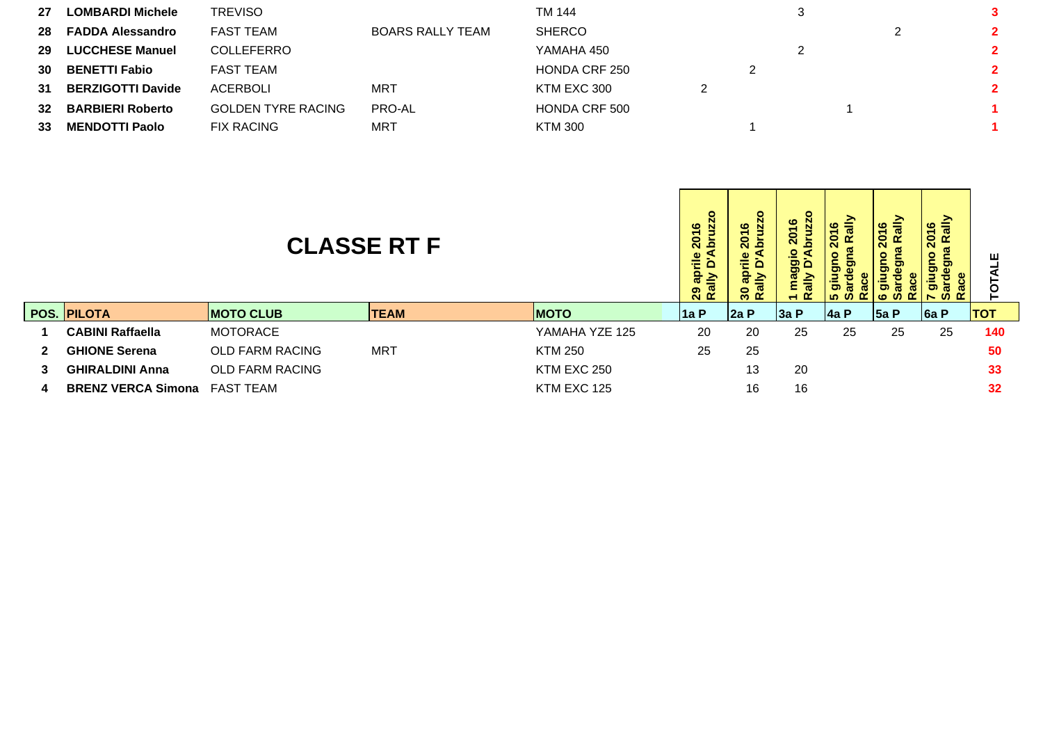| 27 | <b>LOMBARDI Michele</b>  | <b>TREVISO</b>            |                         | TM 144        |  |  | 3            |
|----|--------------------------|---------------------------|-------------------------|---------------|--|--|--------------|
| 28 | <b>FADDA Alessandro</b>  | FAST TEAM                 | <b>BOARS RALLY TEAM</b> | <b>SHERCO</b> |  |  | $\mathbf{2}$ |
| 29 | <b>LUCCHESE Manuel</b>   | <b>COLLEFERRO</b>         |                         | YAMAHA 450    |  |  | $\mathbf{2}$ |
| 30 | <b>BENETTI Fabio</b>     | FAST TEAM                 |                         | HONDA CRF 250 |  |  | $\mathbf{2}$ |
| 31 | <b>BERZIGOTTI Davide</b> | ACERBOLI                  | <b>MRT</b>              | KTM EXC 300   |  |  | $\mathbf{2}$ |
| 32 | <b>BARBIERI Roberto</b>  | <b>GOLDEN TYRE RACING</b> | PRO-AL                  | HONDA CRF 500 |  |  |              |
| 33 | <b>MENDOTTI Paolo</b>    | <b>FIX RACING</b>         | <b>MRT</b>              | KTM 300       |  |  |              |
|    |                          |                           |                         |               |  |  |              |

| <b>CLASSE RT F</b> |                                     |                        |             |                |       | <u>ဖ</u><br>0<br>$\bar{c}$ | $\frac{6}{5}$<br>$\overline{\mathbf{S}}$<br>ā<br>ם פ<br>€ | ₹<br>$\circ$<br>క్ | 016<br>Rally<br>ശ | ≧<br>$\frac{6}{5}$<br>$\bf \hat{S}$ |            |
|--------------------|-------------------------------------|------------------------|-------------|----------------|-------|----------------------------|-----------------------------------------------------------|--------------------|-------------------|-------------------------------------|------------|
|                    | POS. PILOTA                         | <b>MOTO CLUB</b>       | <b>TEAM</b> | <b>MOTO</b>    | ∣1a P | 2a P                       | 3a P                                                      | <b>4a P</b>        | 5a P              | 6a P                                | <b>TOT</b> |
| 1                  | <b>CABINI Raffaella</b>             | <b>MOTORACE</b>        |             | YAMAHA YZE 125 | 20    | 20                         | 25                                                        | 25                 | 25                | 25                                  | 140        |
| $2^{\circ}$        | <b>GHIONE Serena</b>                | <b>OLD FARM RACING</b> | MRT         | <b>KTM 250</b> | 25    | 25                         |                                                           |                    |                   |                                     | 50         |
| 3                  | <b>GHIRALDINI Anna</b>              | <b>OLD FARM RACING</b> |             | KTM EXC 250    |       | 13                         | 20                                                        |                    |                   |                                     | 33         |
| 4                  | <b>BRENZ VERCA Simona FAST TEAM</b> |                        |             | KTM EXC 125    |       | 16                         | 16                                                        |                    |                   |                                     | 32         |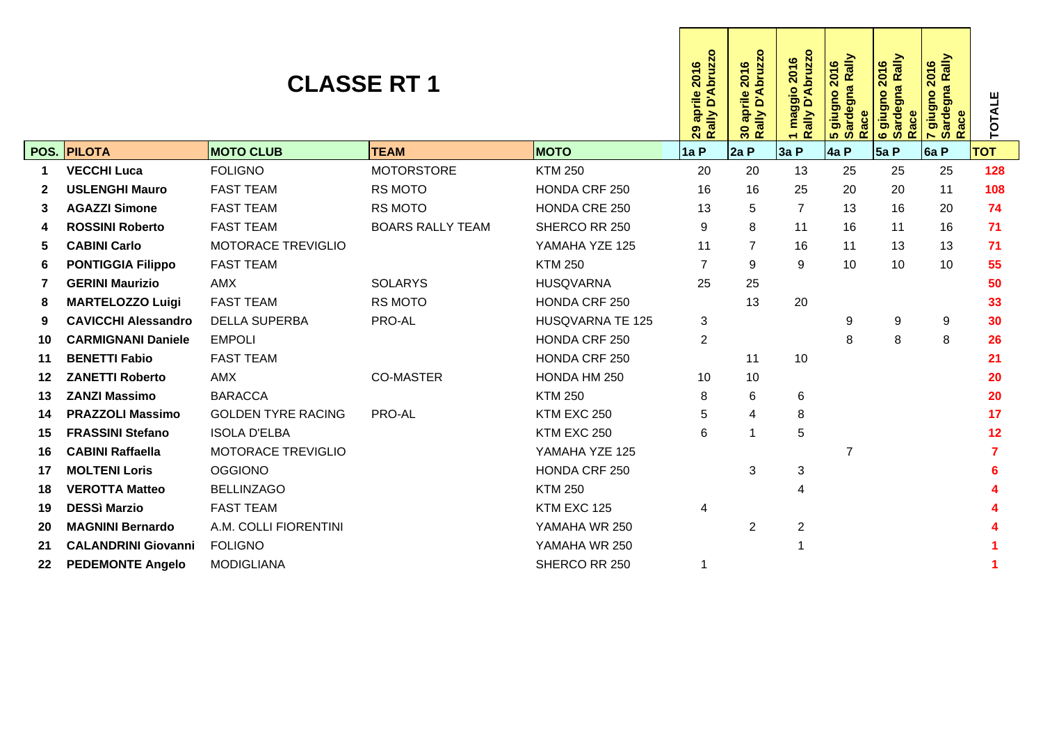|    | <b>CLASSE RT 1</b><br>POS. PILOTA |                           |                         |                         |                |                | 1 maggio 2016<br>Rally D'Abruzzo | 5 giugno 2016<br>Sardegna Rally<br>Race | gna Rally<br>2016<br>e giugno<br>Sardegna<br><b>Ra</b> | Rally<br>2016<br>ardegna<br>$\mathbf{e}$<br>T giugn<br>Sarde<br>Race | <b>TOTALE</b> |
|----|-----------------------------------|---------------------------|-------------------------|-------------------------|----------------|----------------|----------------------------------|-----------------------------------------|--------------------------------------------------------|----------------------------------------------------------------------|---------------|
|    |                                   | <b>MOTO CLUB</b>          | <b>TEAM</b>             | <b>MOTO</b>             | 1a P           | 2a P           | 3a P                             | 4a P                                    | 5aP                                                    | 6a P                                                                 | <b>TOT</b>    |
| 1  | <b>VECCHI Luca</b>                | <b>FOLIGNO</b>            | <b>MOTORSTORE</b>       | <b>KTM 250</b>          | 20             | 20             | 13                               | 25                                      | 25                                                     | 25                                                                   | 128           |
| 2  | <b>USLENGHI Mauro</b>             | <b>FAST TEAM</b>          | <b>RS MOTO</b>          | HONDA CRF 250           | 16             | 16             | 25                               | 20                                      | 20                                                     | 11                                                                   | 108           |
| 3  | <b>AGAZZI Simone</b>              | <b>FAST TEAM</b>          | <b>RS MOTO</b>          | <b>HONDA CRE 250</b>    | 13             | 5              | $\overline{7}$                   | 13                                      | 16                                                     | 20                                                                   | 74            |
| 4  | <b>ROSSINI Roberto</b>            | <b>FAST TEAM</b>          | <b>BOARS RALLY TEAM</b> | SHERCO RR 250           | 9              | 8              | 11                               | 16                                      | 11                                                     | 16                                                                   | 71            |
| 5  | <b>CABINI Carlo</b>               | <b>MOTORACE TREVIGLIO</b> |                         | YAMAHA YZE 125          | 11             | $\overline{7}$ | 16                               | 11                                      | 13                                                     | 13                                                                   | 71            |
| 6  | <b>PONTIGGIA Filippo</b>          | <b>FAST TEAM</b>          |                         | <b>KTM 250</b>          | $\overline{7}$ | 9              | 9                                | 10                                      | 10                                                     | 10                                                                   | 55            |
| 7  | <b>GERINI Maurizio</b>            | <b>AMX</b>                | <b>SOLARYS</b>          | <b>HUSOVARNA</b>        | 25             | 25             |                                  |                                         |                                                        |                                                                      | 50            |
| 8  | <b>MARTELOZZO Luigi</b>           | <b>FAST TEAM</b>          | <b>RS MOTO</b>          | HONDA CRF 250           |                | 13             | 20                               |                                         |                                                        |                                                                      | 33            |
| 9  | <b>CAVICCHI Alessandro</b>        | <b>DELLA SUPERBA</b>      | PRO-AL                  | <b>HUSQVARNA TE 125</b> | 3              |                |                                  | 9                                       | 9                                                      | 9                                                                    | 30            |
| 10 | <b>CARMIGNANI Daniele</b>         | <b>EMPOLI</b>             |                         | HONDA CRF 250           | $\overline{c}$ |                |                                  | 8                                       | 8                                                      | 8                                                                    | 26            |
| 11 | <b>BENETTI Fabio</b>              | <b>FAST TEAM</b>          |                         | HONDA CRF 250           |                | 11             | 10                               |                                         |                                                        |                                                                      | 21            |
| 12 | <b>ZANETTI Roberto</b>            | <b>AMX</b>                | <b>CO-MASTER</b>        | HONDA HM 250            | 10             | 10             |                                  |                                         |                                                        |                                                                      | 20            |
| 13 | <b>ZANZI Massimo</b>              | <b>BARACCA</b>            |                         | <b>KTM 250</b>          | 8              | 6              | 6                                |                                         |                                                        |                                                                      | 20            |
| 14 | <b>PRAZZOLI Massimo</b>           | <b>GOLDEN TYRE RACING</b> | PRO-AL                  | KTM EXC 250             | 5              | 4              | 8                                |                                         |                                                        |                                                                      | 17            |
| 15 | <b>FRASSINI Stefano</b>           | <b>ISOLA D'ELBA</b>       |                         | KTM EXC 250             | 6              | $\overline{1}$ | 5                                |                                         |                                                        |                                                                      | 12            |
| 16 | <b>CABINI Raffaella</b>           | MOTORACE TREVIGLIO        |                         | YAMAHA YZE 125          |                |                |                                  | 7                                       |                                                        |                                                                      |               |
| 17 | <b>MOLTENI Loris</b>              | <b>OGGIONO</b>            |                         | HONDA CRF 250           |                | 3              | 3                                |                                         |                                                        |                                                                      | 6             |
| 18 | <b>VEROTTA Matteo</b>             | <b>BELLINZAGO</b>         |                         | <b>KTM 250</b>          |                |                | 4                                |                                         |                                                        |                                                                      |               |
| 19 | <b>DESSI Marzio</b>               | <b>FAST TEAM</b>          |                         | KTM EXC 125             | 4              |                |                                  |                                         |                                                        |                                                                      |               |
| 20 | <b>MAGNINI Bernardo</b>           | A.M. COLLI FIORENTINI     |                         | YAMAHA WR 250           |                | $\overline{2}$ | $\overline{\mathbf{c}}$          |                                         |                                                        |                                                                      |               |
| 21 | <b>CALANDRINI Giovanni</b>        | <b>FOLIGNO</b>            |                         | YAMAHA WR 250           |                |                |                                  |                                         |                                                        |                                                                      |               |
| 22 | <b>PEDEMONTE Angelo</b>           | <b>MODIGLIANA</b>         |                         | SHERCO RR 250           | 1              |                |                                  |                                         |                                                        |                                                                      |               |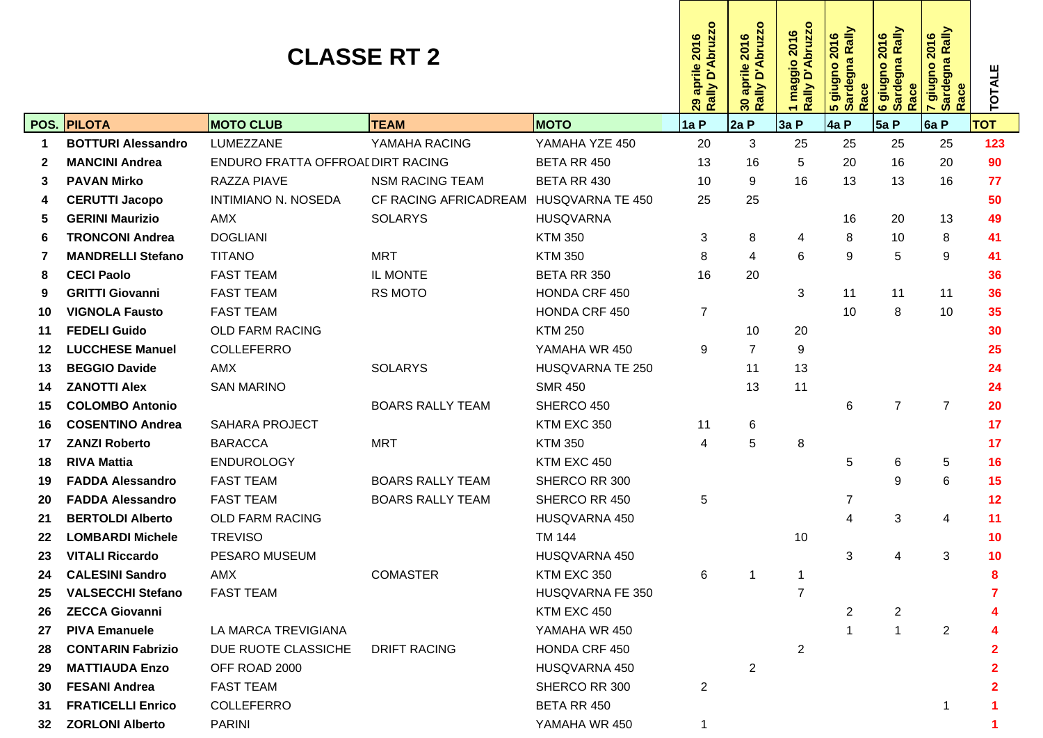|    |                           | <b>CLASSE RT 2</b>               |                         | Rally D'Abruzzo<br>2016<br>aprile<br>29 | Rally D'Abruzzo<br>2016<br>aprile<br>30 | maggio 2016<br>Rally D'Abruzzo<br>1 mag<br>Rally | <mark>5 giugno 2016</mark><br>Sardegna Rally<br>Race | 6 giugno 2016<br>Sardegna Rally<br>Race | ' giugno 2016<br>Sardegna Rally<br>ace<br>$\blacktriangleright$<br>ທີ | <b>TOTALE</b>  |            |
|----|---------------------------|----------------------------------|-------------------------|-----------------------------------------|-----------------------------------------|--------------------------------------------------|------------------------------------------------------|-----------------------------------------|-----------------------------------------------------------------------|----------------|------------|
|    | POS. PILOTA               | <b>MOTO CLUB</b>                 | <b>TEAM</b>             | <b>MOTO</b>                             | 1a P                                    | 2aP                                              | 3aP                                                  | 4a P                                    | 5aP                                                                   | 6a P           | <b>TOT</b> |
|    | <b>BOTTURI Alessandro</b> | LUMEZZANE                        | YAMAHA RACING           | YAMAHA YZE 450                          | 20                                      | 3                                                | 25                                                   | 25                                      | 25                                                                    | 25             | 123        |
|    | <b>MANCINI Andrea</b>     | ENDURO FRATTA OFFROALDIRT RACING |                         | BETA RR 450                             | 13                                      | 16                                               | 5                                                    | 20                                      | 16                                                                    | 20             | 90         |
|    | <b>PAVAN Mirko</b>        | RAZZA PIAVE                      | <b>NSM RACING TEAM</b>  | BETA RR 430                             | 10                                      | 9                                                | 16                                                   | 13                                      | 13                                                                    | 16             | 77         |
|    | <b>CERUTTI Jacopo</b>     | INTIMIANO N. NOSEDA              | CF RACING AFRICADREAM   | HUSQVARNA TE 450                        | 25                                      | 25                                               |                                                      |                                         |                                                                       |                | 50         |
|    | <b>GERINI Maurizio</b>    | AMX                              | <b>SOLARYS</b>          | <b>HUSQVARNA</b>                        |                                         |                                                  |                                                      | 16                                      | 20                                                                    | 13             | 49         |
|    | <b>TRONCONI Andrea</b>    | <b>DOGLIANI</b>                  |                         | <b>KTM 350</b>                          | 3                                       | 8                                                | 4                                                    | 8                                       | 10                                                                    | 8              | 41         |
|    | <b>MANDRELLI Stefano</b>  | <b>TITANO</b>                    | MRT                     | <b>KTM 350</b>                          | 8                                       | 4                                                | 6                                                    | 9                                       | 5                                                                     | 9              | 41         |
| 8  | <b>CECI Paolo</b>         | <b>FAST TEAM</b>                 | IL MONTE                | BETA RR 350                             | 16                                      | 20                                               |                                                      |                                         |                                                                       |                | 36         |
|    | <b>GRITTI Giovanni</b>    | <b>FAST TEAM</b>                 | <b>RS MOTO</b>          | HONDA CRF 450                           |                                         |                                                  | 3                                                    | 11                                      | 11                                                                    | 11             | 36         |
| 10 | <b>VIGNOLA Fausto</b>     | <b>FAST TEAM</b>                 |                         | HONDA CRF 450                           | 7                                       |                                                  |                                                      | 10                                      | 8                                                                     | 10             | 35         |
| 11 | <b>FEDELI Guido</b>       | <b>OLD FARM RACING</b>           |                         | <b>KTM 250</b>                          |                                         | 10                                               | 20                                                   |                                         |                                                                       |                | 30         |
| 12 | <b>LUCCHESE Manuel</b>    | <b>COLLEFERRO</b>                |                         | YAMAHA WR 450                           | 9                                       | $\overline{7}$                                   | 9                                                    |                                         |                                                                       |                | 25         |
| 13 | <b>BEGGIO Davide</b>      | AMX                              | <b>SOLARYS</b>          | HUSQVARNA TE 250                        |                                         | 11                                               | 13                                                   |                                         |                                                                       |                | 24         |
| 14 | <b>ZANOTTI Alex</b>       | <b>SAN MARINO</b>                |                         | <b>SMR 450</b>                          |                                         | 13                                               | 11                                                   |                                         |                                                                       |                | 24         |
| 15 | <b>COLOMBO Antonio</b>    |                                  | <b>BOARS RALLY TEAM</b> | SHERCO 450                              |                                         |                                                  |                                                      | 6                                       | $\overline{7}$                                                        | $\overline{7}$ | 20         |
| 16 | <b>COSENTINO Andrea</b>   | <b>SAHARA PROJECT</b>            |                         | KTM EXC 350                             | 11                                      | 6                                                |                                                      |                                         |                                                                       |                | 17         |
| 17 | <b>ZANZI Roberto</b>      | <b>BARACCA</b>                   | <b>MRT</b>              | <b>KTM 350</b>                          | 4                                       | 5                                                | 8                                                    |                                         |                                                                       |                | 17         |
| 18 | <b>RIVA Mattia</b>        | <b>ENDUROLOGY</b>                |                         | KTM EXC 450                             |                                         |                                                  |                                                      | 5                                       | 6                                                                     | 5              | 16         |
| 19 | <b>FADDA Alessandro</b>   | <b>FAST TEAM</b>                 | <b>BOARS RALLY TEAM</b> | SHERCO RR 300                           |                                         |                                                  |                                                      |                                         | 9                                                                     | 6              | 15         |
| 20 | <b>FADDA Alessandro</b>   | <b>FAST TEAM</b>                 | <b>BOARS RALLY TEAM</b> | SHERCO RR 450                           | 5                                       |                                                  |                                                      | 7                                       |                                                                       |                | 12         |
| 21 | <b>BERTOLDI Alberto</b>   | <b>OLD FARM RACING</b>           |                         | HUSQVARNA 450                           |                                         |                                                  |                                                      | 4                                       | 3                                                                     | 4              | 11         |
| 22 | <b>LOMBARDI Michele</b>   | <b>TREVISO</b>                   |                         | <b>TM 144</b>                           |                                         |                                                  | 10                                                   |                                         |                                                                       |                | 10         |
| 23 | <b>VITALI Riccardo</b>    | PESARO MUSEUM                    |                         | HUSQVARNA 450                           |                                         |                                                  |                                                      | 3                                       | 4                                                                     | 3              | 10         |
| 24 | <b>CALESINI Sandro</b>    | AMX                              | <b>COMASTER</b>         | KTM EXC 350                             | 6                                       |                                                  | -1                                                   |                                         |                                                                       |                |            |
| 25 | <b>VALSECCHI Stefano</b>  | <b>FAST TEAM</b>                 |                         | HUSQVARNA FE 350                        |                                         |                                                  | 7                                                    |                                         |                                                                       |                |            |
| 26 | <b>ZECCA Giovanni</b>     |                                  |                         | KTM EXC 450                             |                                         |                                                  |                                                      | 2                                       | 2                                                                     |                |            |
| 27 | <b>PIVA Emanuele</b>      | LA MARCA TREVIGIANA              |                         | YAMAHA WR 450                           |                                         |                                                  |                                                      |                                         | -1                                                                    | $\overline{2}$ |            |
| 28 | <b>CONTARIN Fabrizio</b>  | DUE RUOTE CLASSICHE              | <b>DRIFT RACING</b>     | HONDA CRF 450                           |                                         |                                                  | 2                                                    |                                         |                                                                       |                |            |
| 29 | <b>MATTIAUDA Enzo</b>     | OFF ROAD 2000                    |                         | HUSQVARNA 450                           |                                         | 2                                                |                                                      |                                         |                                                                       |                |            |
| 30 | <b>FESANI Andrea</b>      | <b>FAST TEAM</b>                 |                         | SHERCO RR 300                           | $\overline{c}$                          |                                                  |                                                      |                                         |                                                                       |                |            |
| 31 | <b>FRATICELLI Enrico</b>  | COLLEFERRO                       |                         | BETA RR 450                             |                                         |                                                  |                                                      |                                         |                                                                       |                |            |
| 32 | <b>ZORLONI Alberto</b>    | <b>PARINI</b>                    |                         | YAMAHA WR 450                           |                                         |                                                  |                                                      |                                         |                                                                       |                |            |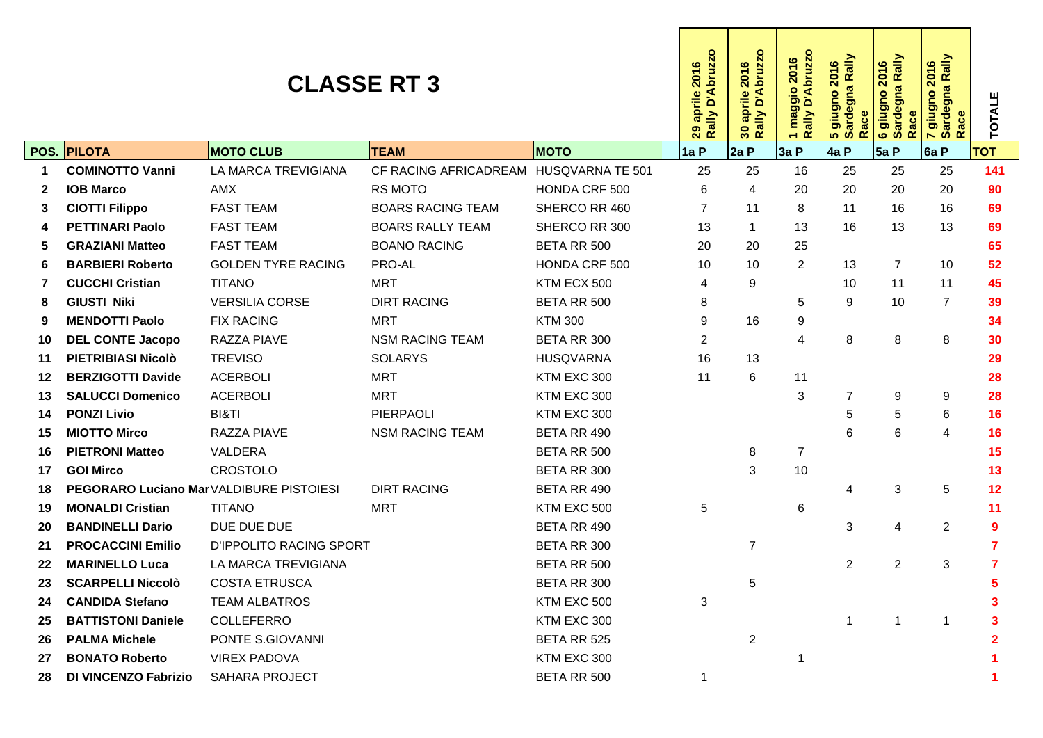|    |                                          |                                | 2016<br>aprile<br>ò<br>ally<br>29<br>$\alpha$ | D'Abruzz<br>2016<br>aprile<br>Rally<br>30 | 1 maggio 2016<br>Rally D'Abruzzo | ardegna Rally<br>2016<br>s giugno<br>Sardegna<br>ace<br>$\alpha$ | Rally<br>2016<br>egna<br><b>oubnib</b> 9<br>Sarde<br>Race | ardegna Rally<br>2016<br>giugno<br>ace<br>$\alpha$<br><u>ທ</u><br>$\overline{ }$ | TOTALE         |                |            |
|----|------------------------------------------|--------------------------------|-----------------------------------------------|-------------------------------------------|----------------------------------|------------------------------------------------------------------|-----------------------------------------------------------|----------------------------------------------------------------------------------|----------------|----------------|------------|
|    | <b>POS. PILOTA</b>                       | <b>MOTO CLUB</b>               | <b>TEAM</b>                                   | <b>MOTO</b>                               | 1a P                             | 2aP                                                              | 3a P                                                      | 4a P                                                                             | 5a P           | 6a P           | <b>TOT</b> |
| 1  | <b>COMINOTTO Vanni</b>                   | LA MARCA TREVIGIANA            | CF RACING AFRICADREAM HUSQVARNA TE 501        |                                           | 25                               | 25                                                               | 16                                                        | 25                                                                               | 25             | 25             | 141        |
| 2  | <b>IOB Marco</b>                         | <b>AMX</b>                     | <b>RS MOTO</b>                                | HONDA CRF 500                             | 6                                | 4                                                                | 20                                                        | 20                                                                               | 20             | 20             | 90         |
| 3  | <b>CIOTTI Filippo</b>                    | <b>FAST TEAM</b>               | <b>BOARS RACING TEAM</b>                      | SHERCO RR 460                             | $\overline{7}$                   | 11                                                               | 8                                                         | 11                                                                               | 16             | 16             | 69         |
| 4  | <b>PETTINARI Paolo</b>                   | <b>FAST TEAM</b>               | <b>BOARS RALLY TEAM</b>                       | SHERCO RR 300                             | 13                               | $\mathbf 1$                                                      | 13                                                        | 16                                                                               | 13             | 13             | 69         |
| 5  | <b>GRAZIANI Matteo</b>                   | <b>FAST TEAM</b>               | <b>BOANO RACING</b>                           | BETA RR 500                               | 20                               | 20                                                               | 25                                                        |                                                                                  |                |                | 65         |
| 6  | <b>BARBIERI Roberto</b>                  | <b>GOLDEN TYRE RACING</b>      | PRO-AL                                        | HONDA CRF 500                             | 10                               | 10                                                               | $\overline{2}$                                            | 13                                                                               | $\overline{7}$ | 10             | 52         |
| 7  | <b>CUCCHI Cristian</b>                   | <b>TITANO</b>                  | <b>MRT</b>                                    | KTM ECX 500                               | 4                                | 9                                                                |                                                           | 10                                                                               | 11             | 11             | 45         |
| 8  | <b>GIUSTI Niki</b>                       | <b>VERSILIA CORSE</b>          | <b>DIRT RACING</b>                            | BETA RR 500                               | 8                                |                                                                  | 5                                                         | 9                                                                                | 10             | $\overline{7}$ | 39         |
| 9  | <b>MENDOTTI Paolo</b>                    | <b>FIX RACING</b>              | <b>MRT</b>                                    | <b>KTM 300</b>                            | 9                                | 16                                                               | 9                                                         |                                                                                  |                |                | 34         |
| 10 | <b>DEL CONTE Jacopo</b>                  | RAZZA PIAVE                    | <b>NSM RACING TEAM</b>                        | BETA RR 300                               | $\overline{2}$                   |                                                                  | 4                                                         | 8                                                                                | 8              | 8              | 30         |
| 11 | PIETRIBIASI Nicolò                       | <b>TREVISO</b>                 | <b>SOLARYS</b>                                | <b>HUSQVARNA</b>                          | 16                               | 13                                                               |                                                           |                                                                                  |                |                | 29         |
| 12 | <b>BERZIGOTTI Davide</b>                 | <b>ACERBOLI</b>                | <b>MRT</b>                                    | KTM EXC 300                               | 11                               | 6                                                                | 11                                                        |                                                                                  |                |                | 28         |
| 13 | <b>SALUCCI Domenico</b>                  | <b>ACERBOLI</b>                | <b>MRT</b>                                    | KTM EXC 300                               |                                  |                                                                  | 3                                                         | $\overline{7}$                                                                   | 9              | 9              | 28         |
| 14 | <b>PONZI Livio</b>                       | BI&TI                          | PIERPAOLI                                     | KTM EXC 300                               |                                  |                                                                  |                                                           | 5                                                                                | 5              | 6              | 16         |
| 15 | <b>MIOTTO Mirco</b>                      | <b>RAZZA PIAVE</b>             | <b>NSM RACING TEAM</b>                        | BETA RR 490                               |                                  |                                                                  |                                                           | 6                                                                                | 6              | 4              | 16         |
| 16 | <b>PIETRONI Matteo</b>                   | VALDERA                        |                                               | BETA RR 500                               |                                  | 8                                                                | $\overline{7}$                                            |                                                                                  |                |                | 15         |
| 17 | <b>GOI Mirco</b>                         | <b>CROSTOLO</b>                |                                               | BETA RR 300                               |                                  | 3                                                                | 10                                                        |                                                                                  |                |                | 13         |
| 18 | PEGORARO Luciano Mar VALDIBURE PISTOIESI |                                | <b>DIRT RACING</b>                            | BETA RR 490                               |                                  |                                                                  |                                                           | $\overline{4}$                                                                   | 3              | 5              | 12         |
| 19 | <b>MONALDI Cristian</b>                  | <b>TITANO</b>                  | <b>MRT</b>                                    | KTM EXC 500                               | 5                                |                                                                  | 6                                                         |                                                                                  |                |                | 11         |
| 20 | <b>BANDINELLI Dario</b>                  | DUE DUE DUE                    |                                               | BETA RR 490                               |                                  |                                                                  |                                                           | 3                                                                                | 4              | $\overline{2}$ | 9          |
| 21 | <b>PROCACCINI Emilio</b>                 | <b>D'IPPOLITO RACING SPORT</b> |                                               | BETA RR 300                               |                                  | 7                                                                |                                                           |                                                                                  |                |                | 7          |
| 22 | <b>MARINELLO Luca</b>                    | LA MARCA TREVIGIANA            |                                               | BETA RR 500                               |                                  |                                                                  |                                                           | $\overline{2}$                                                                   | $\overline{2}$ | 3              | 7          |
| 23 | <b>SCARPELLI Niccolò</b>                 | <b>COSTA ETRUSCA</b>           |                                               | BETA RR 300                               |                                  | 5                                                                |                                                           |                                                                                  |                |                |            |
| 24 | <b>CANDIDA Stefano</b>                   | <b>TEAM ALBATROS</b>           |                                               | KTM EXC 500                               | $\sqrt{3}$                       |                                                                  |                                                           |                                                                                  |                |                |            |
| 25 | <b>BATTISTONI Daniele</b>                | COLLEFERRO                     |                                               | KTM EXC 300                               |                                  |                                                                  |                                                           | 1                                                                                |                |                |            |
| 26 | <b>PALMA Michele</b>                     | PONTE S.GIOVANNI               |                                               | BETA RR 525                               |                                  | $\overline{2}$                                                   |                                                           |                                                                                  |                |                |            |
| 27 | <b>BONATO Roberto</b>                    | <b>VIREX PADOVA</b>            |                                               | KTM EXC 300                               |                                  |                                                                  |                                                           |                                                                                  |                |                |            |
| 28 | <b>DI VINCENZO Fabrizio</b>              | <b>SAHARA PROJECT</b>          |                                               | BETA RR 500                               | $\mathbf{1}$                     |                                                                  |                                                           |                                                                                  |                |                |            |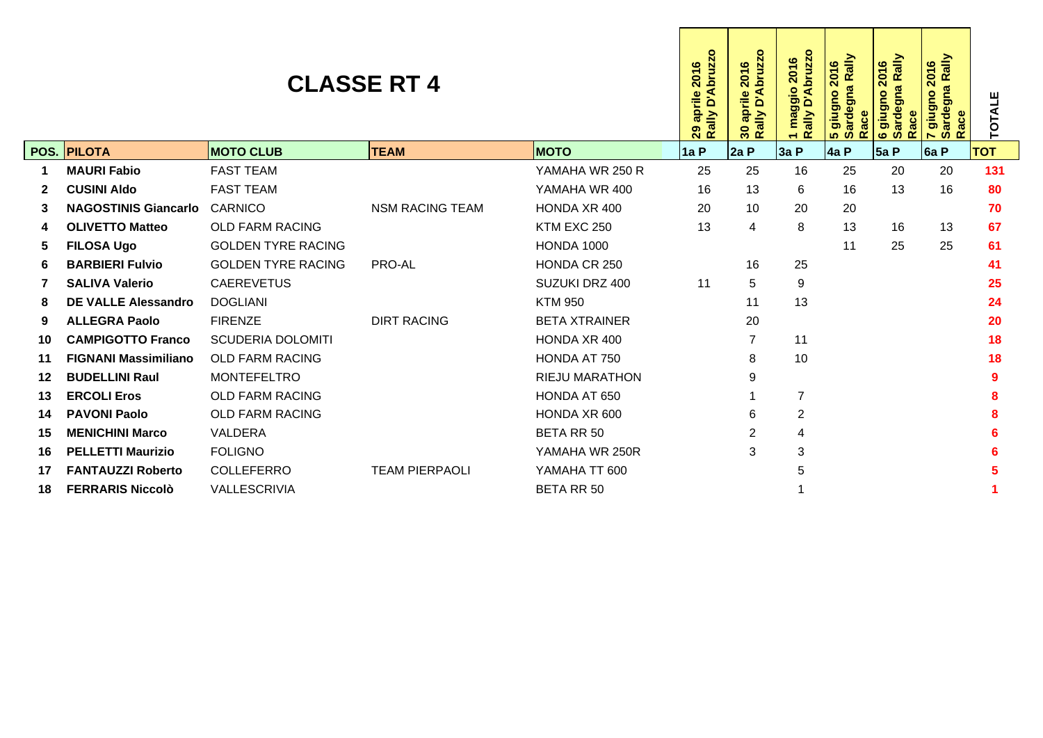|         |                             | D'Abruzzo<br>2016<br>aprile<br>Rally<br>29 | aprile 2016<br>ally D'Abruzzo<br>Rally<br>$30^{\circ}$ | maggio 2016<br>ally D'Abruzzo<br><b>Alle</b><br>$\alpha$ | Rally<br>2016<br>ardegna<br>oubnib<br>ace<br>œ<br><u>ທີ່ ທີ່</u> | Rally<br>2016<br>gna<br>oubnib<br>arde<br>而<br><b>SO</b><br>$\alpha$<br>$\bullet$ | gna Rally<br>2016<br>ougnig<br>arde<br>$\alpha$ | TOTALE |     |      |            |
|---------|-----------------------------|--------------------------------------------|--------------------------------------------------------|----------------------------------------------------------|------------------------------------------------------------------|-----------------------------------------------------------------------------------|-------------------------------------------------|--------|-----|------|------------|
|         | <b>POS. PILOTA</b>          | <b>MOTO CLUB</b>                           | <b>TEAM</b>                                            | <b>MOTO</b>                                              | 1a P                                                             | 2aP                                                                               | 3a P                                            | 4a P   | 5aP | 6a P | <b>TOT</b> |
| 1       | <b>MAURI Fabio</b>          | <b>FAST TEAM</b>                           |                                                        | YAMAHA WR 250 R                                          | 25                                                               | 25                                                                                | 16                                              | 25     | 20  | 20   | 131        |
| 2       | <b>CUSINI Aldo</b>          | <b>FAST TEAM</b>                           |                                                        | YAMAHA WR 400                                            | 16                                                               | 13                                                                                | 6                                               | 16     | 13  | 16   | 80         |
| 3       | <b>NAGOSTINIS Giancarlo</b> | CARNICO                                    | <b>NSM RACING TEAM</b>                                 | HONDA XR 400                                             | 20                                                               | 10                                                                                | 20                                              | 20     |     |      | 70         |
| 4       | <b>OLIVETTO Matteo</b>      | <b>OLD FARM RACING</b>                     |                                                        | KTM EXC 250                                              | 13                                                               | $\overline{4}$                                                                    | 8                                               | 13     | 16  | 13   | 67         |
| 5       | <b>FILOSA Ugo</b>           | <b>GOLDEN TYRE RACING</b>                  |                                                        | <b>HONDA 1000</b>                                        |                                                                  |                                                                                   |                                                 | 11     | 25  | 25   | 61         |
| 6       | <b>BARBIERI Fulvio</b>      | <b>GOLDEN TYRE RACING</b>                  | PRO-AL                                                 | HONDA CR 250                                             |                                                                  | 16                                                                                | 25                                              |        |     |      | 41         |
| 7       | <b>SALIVA Valerio</b>       | <b>CAEREVETUS</b>                          |                                                        | SUZUKI DRZ 400                                           | 11                                                               | 5                                                                                 | 9                                               |        |     |      | 25         |
| 8       | <b>DE VALLE Alessandro</b>  | <b>DOGLIANI</b>                            |                                                        | <b>KTM 950</b>                                           |                                                                  | 11                                                                                | 13                                              |        |     |      | 24         |
| 9       | <b>ALLEGRA Paolo</b>        | <b>FIRENZE</b>                             | <b>DIRT RACING</b>                                     | <b>BETA XTRAINER</b>                                     |                                                                  | 20                                                                                |                                                 |        |     |      | 20         |
| 10      | <b>CAMPIGOTTO Franco</b>    | <b>SCUDERIA DOLOMITI</b>                   |                                                        | HONDA XR 400                                             |                                                                  | $\overline{7}$                                                                    | 11                                              |        |     |      | 18         |
| 11      | <b>FIGNANI Massimiliano</b> | <b>OLD FARM RACING</b>                     |                                                        | HONDA AT 750                                             |                                                                  | 8                                                                                 | 10                                              |        |     |      | 18         |
| $12 \,$ | <b>BUDELLINI Raul</b>       | <b>MONTEFELTRO</b>                         |                                                        | <b>RIEJU MARATHON</b>                                    |                                                                  | 9                                                                                 |                                                 |        |     |      |            |
| 13      | <b>ERCOLI Eros</b>          | <b>OLD FARM RACING</b>                     |                                                        | HONDA AT 650                                             |                                                                  |                                                                                   | $\overline{7}$                                  |        |     |      |            |
| 14      | <b>PAVONI Paolo</b>         | <b>OLD FARM RACING</b>                     |                                                        | HONDA XR 600                                             |                                                                  | 6                                                                                 | $\overline{2}$                                  |        |     |      |            |
| 15      | <b>MENICHINI Marco</b>      | <b>VALDERA</b>                             |                                                        | <b>BETA RR 50</b>                                        |                                                                  | 2                                                                                 | 4                                               |        |     |      |            |
| 16      | <b>PELLETTI Maurizio</b>    | <b>FOLIGNO</b>                             |                                                        | YAMAHA WR 250R                                           |                                                                  | 3                                                                                 | 3                                               |        |     |      |            |
| 17      | <b>FANTAUZZI Roberto</b>    | <b>COLLEFERRO</b>                          | <b>TEAM PIERPAOLI</b>                                  | YAMAHA TT 600                                            |                                                                  |                                                                                   | 5                                               |        |     |      |            |
| 18      | <b>FERRARIS Niccolò</b>     | VALLESCRIVIA                               |                                                        | <b>BETA RR 50</b>                                        |                                                                  |                                                                                   |                                                 |        |     |      |            |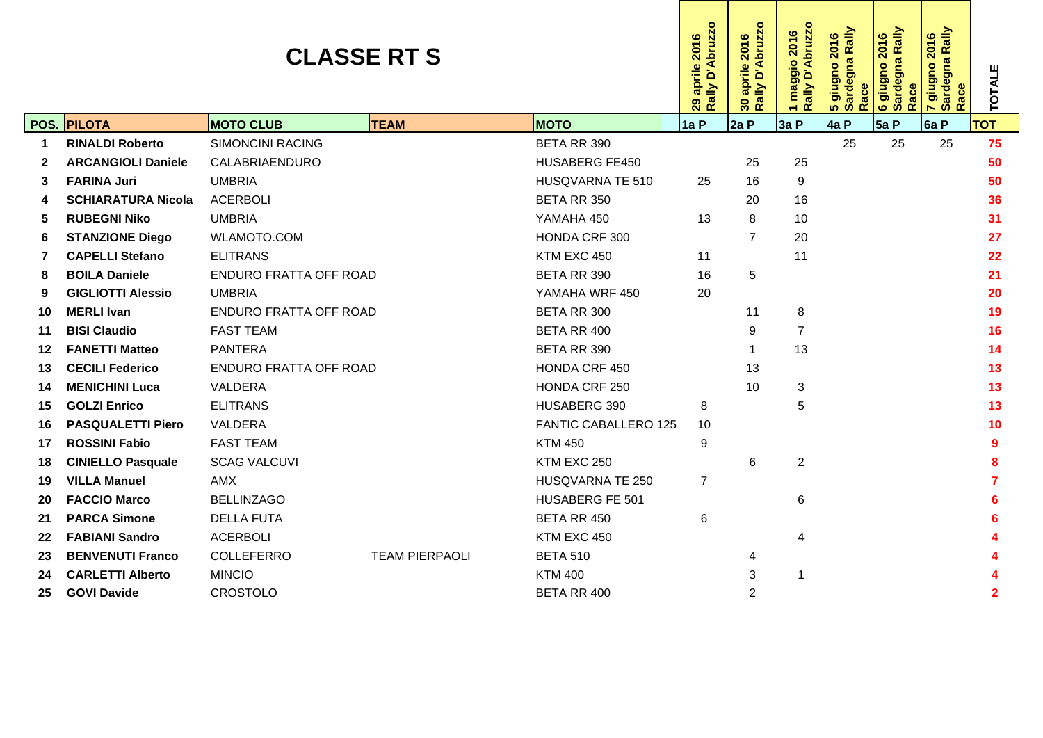|              |                           | Rally D'Abruzzo<br>29 aprile 2016 | $\mathbf{o}$<br>D'Abruzz<br>2016<br>aprile<br>Rally<br>30 | <b>Abruzzo</b><br>2016<br>maggio<br><u>ۃ</u><br><b>VIIe</b><br>œ<br>$\overline{\phantom{0}}$ | 5 giugno 2016<br>Sardegna Rally<br>2016<br>Race | ardegna Rally<br>2016<br>oubnib<br>Race<br>ဖေဖ | <mark>7 giugno 2016</mark><br>Sardegna Rally<br>2016<br>ace<br>$\alpha$ | <b>TOTALE</b> |     |      |              |
|--------------|---------------------------|-----------------------------------|-----------------------------------------------------------|----------------------------------------------------------------------------------------------|-------------------------------------------------|------------------------------------------------|-------------------------------------------------------------------------|---------------|-----|------|--------------|
|              | POS. PILOTA               | <b>MOTO CLUB</b>                  | <b>TEAM</b>                                               | <b>MOTO</b>                                                                                  | 1a P                                            | 2aP                                            | 3a P                                                                    | 4a P          | 5aP | 6a P | <b>TOT</b>   |
| 1            | <b>RINALDI Roberto</b>    | <b>SIMONCINI RACING</b>           |                                                           | BETA RR 390                                                                                  |                                                 |                                                |                                                                         | 25            | 25  | 25   | 75           |
| $\mathbf{2}$ | <b>ARCANGIOLI Daniele</b> | CALABRIAENDURO                    |                                                           | <b>HUSABERG FE450</b>                                                                        |                                                 | 25                                             | 25                                                                      |               |     |      | 50           |
| 3            | <b>FARINA Juri</b>        | <b>UMBRIA</b>                     |                                                           | HUSQVARNA TE 510                                                                             | 25                                              | 16                                             | 9                                                                       |               |     |      | 50           |
| 4            | <b>SCHIARATURA Nicola</b> | <b>ACERBOLI</b>                   |                                                           | BETA RR 350                                                                                  |                                                 | 20                                             | 16                                                                      |               |     |      | 36           |
| 5            | <b>RUBEGNI Niko</b>       | <b>UMBRIA</b>                     |                                                           | YAMAHA 450                                                                                   | 13                                              | 8                                              | 10                                                                      |               |     |      | 31           |
| 6            | <b>STANZIONE Diego</b>    | <b>WLAMOTO.COM</b>                |                                                           | HONDA CRF 300                                                                                |                                                 | $\overline{7}$                                 | 20                                                                      |               |     |      | 27           |
| 7            | <b>CAPELLI Stefano</b>    | <b>ELITRANS</b>                   |                                                           | KTM EXC 450                                                                                  | 11                                              |                                                | 11                                                                      |               |     |      | 22           |
| 8            | <b>BOILA Daniele</b>      | <b>ENDURO FRATTA OFF ROAD</b>     |                                                           | BETA RR 390                                                                                  | 16                                              | 5                                              |                                                                         |               |     |      | 21           |
| 9            | <b>GIGLIOTTI Alessio</b>  | <b>UMBRIA</b>                     |                                                           | YAMAHA WRF 450                                                                               | 20                                              |                                                |                                                                         |               |     |      | 20           |
| 10           | <b>MERLI Ivan</b>         | <b>ENDURO FRATTA OFF ROAD</b>     |                                                           | BETA RR 300                                                                                  |                                                 | 11                                             | 8                                                                       |               |     |      | 19           |
| 11           | <b>BISI Claudio</b>       | <b>FAST TEAM</b>                  |                                                           | BETA RR 400                                                                                  |                                                 | 9                                              | $\overline{7}$                                                          |               |     |      | 16           |
| 12           | <b>FANETTI Matteo</b>     | <b>PANTERA</b>                    |                                                           | BETA RR 390                                                                                  |                                                 | $\overline{1}$                                 | 13                                                                      |               |     |      | 14           |
| 13           | <b>CECILI Federico</b>    | <b>ENDURO FRATTA OFF ROAD</b>     |                                                           | HONDA CRF 450                                                                                |                                                 | 13                                             |                                                                         |               |     |      | 13           |
| 14           | <b>MENICHINI Luca</b>     | VALDERA                           |                                                           | HONDA CRF 250                                                                                |                                                 | 10                                             | 3                                                                       |               |     |      | 13           |
| 15           | <b>GOLZI Enrico</b>       | <b>ELITRANS</b>                   |                                                           | HUSABERG 390                                                                                 | 8                                               |                                                | 5                                                                       |               |     |      | 13           |
| 16           | <b>PASQUALETTI Piero</b>  | VALDERA                           |                                                           | <b>FANTIC CABALLERO 125</b>                                                                  | 10                                              |                                                |                                                                         |               |     |      | 10           |
| 17           | <b>ROSSINI Fabio</b>      | <b>FAST TEAM</b>                  |                                                           | <b>KTM 450</b>                                                                               | 9                                               |                                                |                                                                         |               |     |      | 9            |
| 18           | <b>CINIELLO Pasquale</b>  | <b>SCAG VALCUVI</b>               |                                                           | KTM EXC 250                                                                                  |                                                 | 6                                              | $\overline{c}$                                                          |               |     |      |              |
| 19           | <b>VILLA Manuel</b>       | AMX                               |                                                           | HUSQVARNA TE 250                                                                             | $\overline{7}$                                  |                                                |                                                                         |               |     |      |              |
| 20           | <b>FACCIO Marco</b>       | <b>BELLINZAGO</b>                 |                                                           | <b>HUSABERG FE 501</b>                                                                       |                                                 |                                                | 6                                                                       |               |     |      |              |
| 21           | <b>PARCA Simone</b>       | <b>DELLA FUTA</b>                 |                                                           | BETA RR 450                                                                                  | 6                                               |                                                |                                                                         |               |     |      |              |
| 22           | <b>FABIANI Sandro</b>     | <b>ACERBOLI</b>                   |                                                           | KTM EXC 450                                                                                  |                                                 |                                                | 4                                                                       |               |     |      |              |
| 23           | <b>BENVENUTI Franco</b>   | <b>COLLEFERRO</b>                 | <b>TEAM PIERPAOLI</b>                                     | <b>BETA 510</b>                                                                              |                                                 | 4                                              |                                                                         |               |     |      |              |
| 24           | <b>CARLETTI Alberto</b>   | <b>MINCIO</b>                     |                                                           | <b>KTM 400</b>                                                                               |                                                 | 3                                              | 1                                                                       |               |     |      |              |
| 25           | <b>GOVI Davide</b>        | <b>CROSTOLO</b>                   |                                                           | BETA RR 400                                                                                  |                                                 | 2                                              |                                                                         |               |     |      | $\mathbf{2}$ |